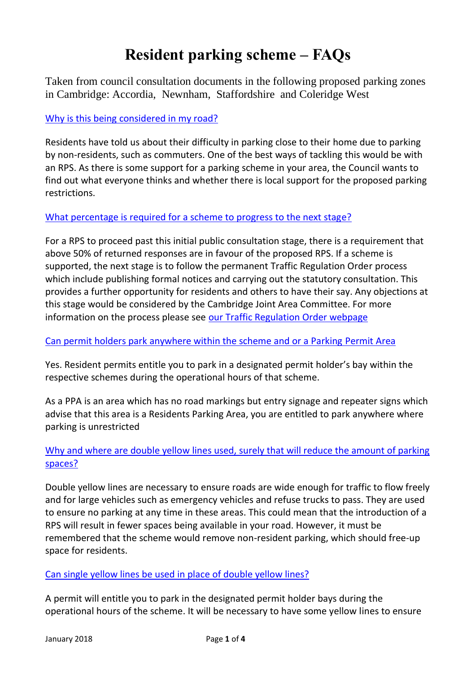# **Resident parking scheme – FAQs**

Taken from council consultation documents in the following proposed parking zones in Cambridge: Accordia, Newnham, Staffordshire and Coleridge West

## [Why is this being considered in my road?](https://www.cambridgeshire.gov.uk/residents/travel-roads-and-parking/parking-permits-and-fines/parking/resident-parking-scheme-consultation/#i3-widget_multibox-66988-0)

Residents have told us about their difficulty in parking close to their home due to parking by non-residents, such as commuters. One of the best ways of tackling this would be with an RPS. As there is some support for a parking scheme in your area, the Council wants to find out what everyone thinks and whether there is local support for the proposed parking restrictions.

#### [What percentage is required for a scheme to progress to the next stage?](https://www.cambridgeshire.gov.uk/residents/travel-roads-and-parking/parking-permits-and-fines/parking/resident-parking-scheme-consultation/#i3-widget_multibox-66988-1)

For a RPS to proceed past this initial public consultation stage, there is a requirement that above 50% of returned responses are in favour of the proposed RPS. If a scheme is supported, the next stage is to follow the permanent Traffic Regulation Order process which include publishing formal notices and carrying out the statutory consultation. This provides a further opportunity for residents and others to have their say. Any objections at this stage would be considered by the Cambridge Joint Area Committee. For more information on the process please see [our Traffic Regulation Order webpage](https://www.cambridgeshire.gov.uk/residents/travel-roads-and-parking/roads-and-pathways/roadworks-and-faults/traffic-regulation-orders/)

## [Can permit holders park anywhere within the scheme and or a Parking Permit Area](https://www.cambridgeshire.gov.uk/residents/travel-roads-and-parking/parking-permits-and-fines/parking/resident-parking-scheme-consultation/#i3-widget_multibox-66988-2)

Yes. Resident permits entitle you to park in a designated permit holder's bay within the respective schemes during the operational hours of that scheme.

As a PPA is an area which has no road markings but entry signage and repeater signs which advise that this area is a Residents Parking Area, you are entitled to park anywhere where parking is unrestricted

## [Why and where are double yellow lines used, surely that will reduce the amount of parking](https://www.cambridgeshire.gov.uk/residents/travel-roads-and-parking/parking-permits-and-fines/parking/resident-parking-scheme-consultation/#i3-widget_multibox-66988-3)  [spaces?](https://www.cambridgeshire.gov.uk/residents/travel-roads-and-parking/parking-permits-and-fines/parking/resident-parking-scheme-consultation/#i3-widget_multibox-66988-3)

Double yellow lines are necessary to ensure roads are wide enough for traffic to flow freely and for large vehicles such as emergency vehicles and refuse trucks to pass. They are used to ensure no parking at any time in these areas. This could mean that the introduction of a RPS will result in fewer spaces being available in your road. However, it must be remembered that the scheme would remove non-resident parking, which should free-up space for residents.

## [Can single yellow lines be used in place of double yellow lines?](https://www.cambridgeshire.gov.uk/residents/travel-roads-and-parking/parking-permits-and-fines/parking/resident-parking-scheme-consultation/#i3-widget_multibox-66988-4)

A permit will entitle you to park in the designated permit holder bays during the operational hours of the scheme. It will be necessary to have some yellow lines to ensure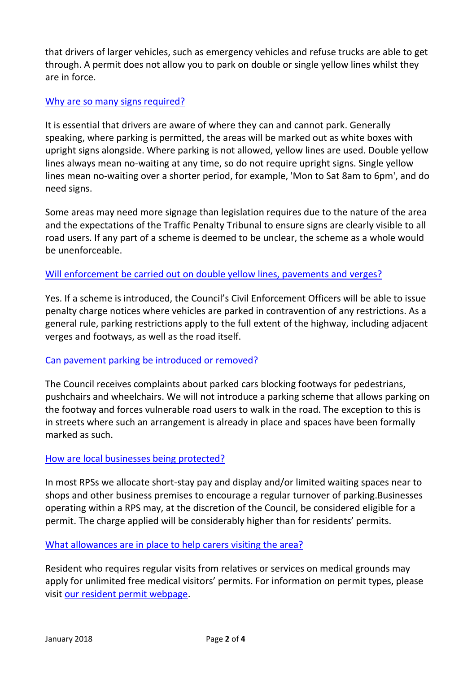that drivers of larger vehicles, such as emergency vehicles and refuse trucks are able to get through. A permit does not allow you to park on double or single yellow lines whilst they are in force.

### [Why are so many signs required?](https://www.cambridgeshire.gov.uk/residents/travel-roads-and-parking/parking-permits-and-fines/parking/resident-parking-scheme-consultation/#i3-widget_multibox-66988-5)

It is essential that drivers are aware of where they can and cannot park. Generally speaking, where parking is permitted, the areas will be marked out as white boxes with upright signs alongside. Where parking is not allowed, yellow lines are used. Double yellow lines always mean no-waiting at any time, so do not require upright signs. Single yellow lines mean no-waiting over a shorter period, for example, 'Mon to Sat 8am to 6pm', and do need signs.

Some areas may need more signage than legislation requires due to the nature of the area and the expectations of the Traffic Penalty Tribunal to ensure signs are clearly visible to all road users. If any part of a scheme is deemed to be unclear, the scheme as a whole would be unenforceable.

#### [Will enforcement be carried out on double yellow lines, pavements and](https://www.cambridgeshire.gov.uk/residents/travel-roads-and-parking/parking-permits-and-fines/parking/resident-parking-scheme-consultation/#i3-widget_multibox-66988-6) verges?

Yes. If a scheme is introduced, the Council's Civil Enforcement Officers will be able to issue penalty charge notices where vehicles are parked in contravention of any restrictions. As a general rule, parking restrictions apply to the full extent of the highway, including adjacent verges and footways, as well as the road itself.

#### [Can pavement parking be introduced or removed?](https://www.cambridgeshire.gov.uk/residents/travel-roads-and-parking/parking-permits-and-fines/parking/resident-parking-scheme-consultation/#i3-widget_multibox-66988-7)

The Council receives complaints about parked cars blocking footways for pedestrians, pushchairs and wheelchairs. We will not introduce a parking scheme that allows parking on the footway and forces vulnerable road users to walk in the road. The exception to this is in streets where such an arrangement is already in place and spaces have been formally marked as such.

#### [How are local businesses being protected?](https://www.cambridgeshire.gov.uk/residents/travel-roads-and-parking/parking-permits-and-fines/parking/resident-parking-scheme-consultation/#i3-widget_multibox-66988-8)

In most RPSs we allocate short-stay pay and display and/or limited waiting spaces near to shops and other business premises to encourage a regular turnover of parking.Businesses operating within a RPS may, at the discretion of the Council, be considered eligible for a permit. The charge applied will be considerably higher than for residents' permits.

#### [What allowances are in place to help carers visiting the area?](https://www.cambridgeshire.gov.uk/residents/travel-roads-and-parking/parking-permits-and-fines/parking/resident-parking-scheme-consultation/#i3-widget_multibox-66988-9)

Resident who requires regular visits from relatives or services on medical grounds may apply for unlimited free medical visitors' permits. For information on permit types, please visit [our resident permit webpage.](https://www.cambridgeshire.gov.uk/residents/travel-roads-and-parking/parking-permits-and-fines/parking/residents-parking-in-cambridge/)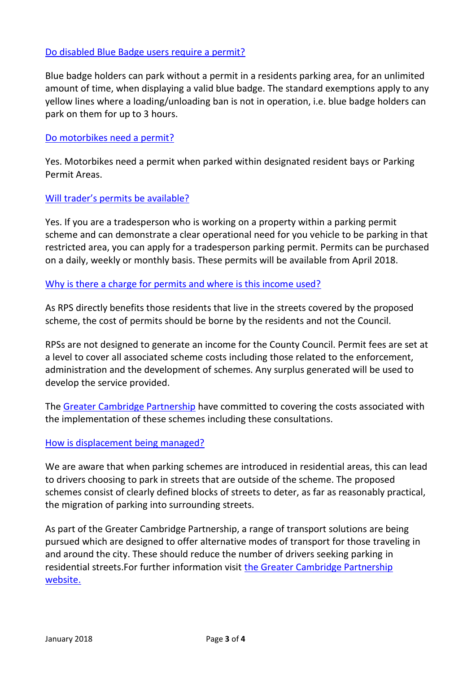#### [Do disabled Blue Badge users require a permit?](https://www.cambridgeshire.gov.uk/residents/travel-roads-and-parking/parking-permits-and-fines/parking/resident-parking-scheme-consultation/#i3-widget_multibox-66988-10)

Blue badge holders can park without a permit in a residents parking area, for an unlimited amount of time, when displaying a valid blue badge. The standard exemptions apply to any yellow lines where a loading/unloading ban is not in operation, i.e. blue badge holders can park on them for up to 3 hours.

#### [Do motorbikes need a permit?](https://www.cambridgeshire.gov.uk/residents/travel-roads-and-parking/parking-permits-and-fines/parking/resident-parking-scheme-consultation/#i3-widget_multibox-66988-11)

Yes. Motorbikes need a permit when parked within designated resident bays or Parking Permit Areas.

#### Will trader['s permits be available?](https://www.cambridgeshire.gov.uk/residents/travel-roads-and-parking/parking-permits-and-fines/parking/resident-parking-scheme-consultation/#i3-widget_multibox-66988-12)

Yes. If you are a tradesperson who is working on a property within a parking permit scheme and can demonstrate a clear operational need for you vehicle to be parking in that restricted area, you can apply for a tradesperson parking permit. Permits can be purchased on a daily, weekly or monthly basis. These permits will be available from April 2018.

#### [Why is there a charge for permits and where is this income used?](https://www.cambridgeshire.gov.uk/residents/travel-roads-and-parking/parking-permits-and-fines/parking/resident-parking-scheme-consultation/#i3-widget_multibox-66988-13)

As RPS directly benefits those residents that live in the streets covered by the proposed scheme, the cost of permits should be borne by the residents and not the Council.

RPSs are not designed to generate an income for the County Council. Permit fees are set at a level to cover all associated scheme costs including those related to the enforcement, administration and the development of schemes. Any surplus generated will be used to develop the service provided.

The [Greater Cambridge Partnership](https://www.greatercambridge.org.uk/) have committed to covering the costs associated with the implementation of these schemes including these consultations.

#### [How is displacement being managed?](https://www.cambridgeshire.gov.uk/residents/travel-roads-and-parking/parking-permits-and-fines/parking/resident-parking-scheme-consultation/#i3-widget_multibox-66988-14)

We are aware that when parking schemes are introduced in residential areas, this can lead to drivers choosing to park in streets that are outside of the scheme. The proposed schemes consist of clearly defined blocks of streets to deter, as far as reasonably practical, the migration of parking into surrounding streets.

As part of the Greater Cambridge Partnership, a range of transport solutions are being pursued which are designed to offer alternative modes of transport for those traveling in and around the city. These should reduce the number of drivers seeking parking in residential streets.For further information visit [the Greater Cambridge Partnership](https://www.greatercambridge.org.uk/)  [website.](https://www.greatercambridge.org.uk/)